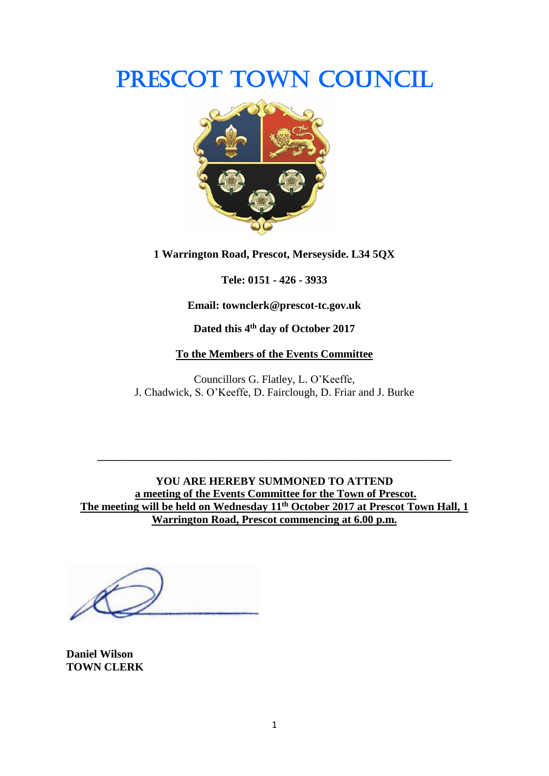# PRESCOT TOWN COUNCIL



**1 Warrington Road, Prescot, Merseyside. L34 5QX**

**Tele: 0151 - 426 - 3933**

**Email: townclerk@prescot-tc.gov.uk**

**Dated this 4 th day of October 2017**

#### **To the Members of the Events Committee**

Councillors G. Flatley, L. O'Keeffe, J. Chadwick, S. O'Keeffe, D. Fairclough, D. Friar and J. Burke

**YOU ARE HEREBY SUMMONED TO ATTEND a meeting of the Events Committee for the Town of Prescot. The meeting will be held on Wednesday 11th October 2017 at Prescot Town Hall, 1 Warrington Road, Prescot commencing at 6.00 p.m.**

**\_\_\_\_\_\_\_\_\_\_\_\_\_\_\_\_\_\_\_\_\_\_\_\_\_\_\_\_\_\_\_\_\_\_\_\_\_\_\_\_\_\_\_\_\_\_\_\_\_\_\_\_\_\_\_\_\_\_\_\_\_\_\_\_**

**Daniel Wilson TOWN CLERK**